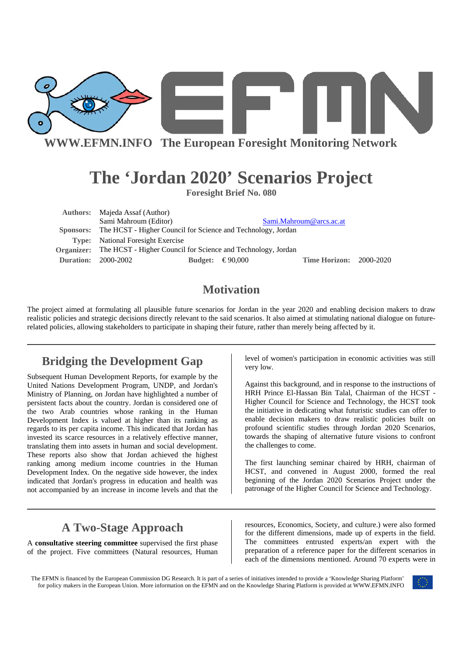

**The 'Jordan 2020' Scenarios Project** 

**Foresight Brief No. 080** 

| <b>Authors:</b> Majeda Assaf (Author)                                          |  |                           |                                |  |
|--------------------------------------------------------------------------------|--|---------------------------|--------------------------------|--|
| Sami Mahroum (Editor)                                                          |  |                           | Sami.Mahroum@arcs.ac.at        |  |
| <b>Sponsors:</b> The HCST - Higher Council for Science and Technology, Jordan  |  |                           |                                |  |
| <b>Type:</b> National Foresight Exercise                                       |  |                           |                                |  |
| <b>Organizer:</b> The HCST - Higher Council for Science and Technology, Jordan |  |                           |                                |  |
| <b>Duration: 2000-2002</b>                                                     |  | Budget: $\epsilon$ 90,000 | <b>Time Horizon: 2000-2020</b> |  |

# **Motivation**

The project aimed at formulating all plausible future scenarios for Jordan in the year 2020 and enabling decision makers to draw realistic policies and strategic decisions directly relevant to the said scenarios. It also aimed at stimulating national dialogue on futurerelated policies, allowing stakeholders to participate in shaping their future, rather than merely being affected by it.

# **Bridging the Development Gap**

Subsequent Human Development Reports, for example by the United Nations Development Program, UNDP, and Jordan's Ministry of Planning, on Jordan have highlighted a number of persistent facts about the country. Jordan is considered one of the two Arab countries whose ranking in the Human Development Index is valued at higher than its ranking as regards to its per capita income. This indicated that Jordan has invested its scarce resources in a relatively effective manner, translating them into assets in human and social development. These reports also show that Jordan achieved the highest ranking among medium income countries in the Human Development Index. On the negative side however, the index indicated that Jordan's progress in education and health was not accompanied by an increase in income levels and that the

# **A Two-Stage Approach**

A **consultative steering committee** supervised the first phase of the project. Five committees (Natural resources, Human level of women's participation in economic activities was still very low.

Against this background, and in response to the instructions of HRH Prince El-Hassan Bin Talal, Chairman of the HCST - Higher Council for Science and Technology, the HCST took the initiative in dedicating what futuristic studies can offer to enable decision makers to draw realistic policies built on profound scientific studies through Jordan 2020 Scenarios, towards the shaping of alternative future visions to confront the challenges to come.

The first launching seminar chaired by HRH, chairman of HCST, and convened in August 2000, formed the real beginning of the Jordan 2020 Scenarios Project under the patronage of the Higher Council for Science and Technology.

resources, Economics, Society, and culture.) were also formed for the different dimensions, made up of experts in the field. The committees entrusted experts/an expert with the preparation of a reference paper for the different scenarios in each of the dimensions mentioned. Around 70 experts were in

The EFMN is financed by the European Commission DG Research. It is part of a series of initiatives intended to provide a 'Knowledge Sharing Platform' for policy makers in the European Union. More information on the EFMN and on the Knowledge Sharing Platform is provided at WWW.EFMN.INFO

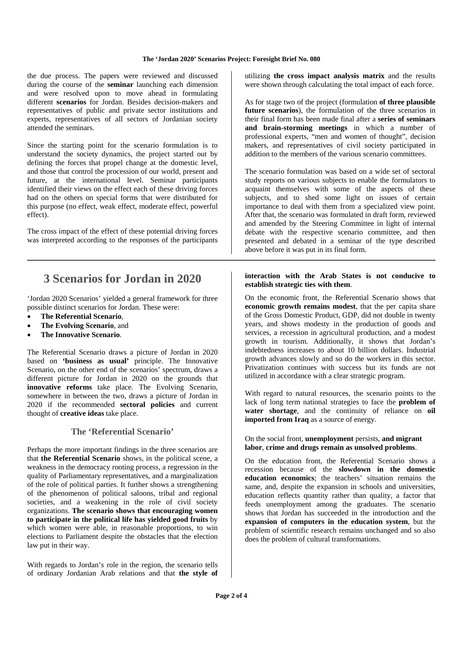#### **The 'Jordan 2020' Scenarios Project: Foresight Brief No. 080**

the due process. The papers were reviewed and discussed during the course of the **seminar** launching each dimension and were resolved upon to move ahead in formulating different **scenarios** for Jordan. Besides decision-makers and representatives of public and private sector institutions and experts, representatives of all sectors of Jordanian society attended the seminars.

Since the starting point for the scenario formulation is to understand the society dynamics, the project started out by defining the forces that propel change at the domestic level, and those that control the procession of our world, present and future, at the international level. Seminar participants identified their views on the effect each of these driving forces had on the others on special forms that were distributed for this purpose (no effect, weak effect, moderate effect, powerful effect).

The cross impact of the effect of these potential driving forces was interpreted according to the responses of the participants

### **3 Scenarios for Jordan in 2020**

'Jordan 2020 Scenarios' yielded a general framework for three possible distinct scenarios for Jordan. These were:

- **The Referential Scenario**,
- **The Evolving Scenario**, and
- **The Innovative Scenario**.

The Referential Scenario draws a picture of Jordan in 2020 based on **'business as usual'** principle. The Innovative Scenario, on the other end of the scenarios' spectrum, draws a different picture for Jordan in 2020 on the grounds that **innovative reforms** take place. The Evolving Scenario, somewhere in between the two, draws a picture of Jordan in 2020 if the recommended **sectoral policies** and current thought of **creative ideas** take place.

### **The 'Referential Scenario'**

Perhaps the more important findings in the three scenarios are that **the Referential Scenario** shows, in the political scene, a weakness in the democracy rooting process, a regression in the quality of Parliamentary representatives, and a marginalization of the role of political parties. It further shows a strengthening of the phenomenon of political saloons, tribal and regional societies, and a weakening in the role of civil society organizations. **The scenario shows that encouraging women to participate in the political life has yielded good fruits** by which women were able, in reasonable proportions, to win elections to Parliament despite the obstacles that the election law put in their way.

With regards to Jordan's role in the region, the scenario tells of ordinary Jordanian Arab relations and that **the style of**  utilizing **the cross impact analysis matrix** and the results were shown through calculating the total impact of each force.

As for stage two of the project (formulation **of three plausible future scenarios**), the formulation of the three scenarios in their final form has been made final after a **series of seminars and brain-storming meetings** in which a number of professional experts, "men and women of thought", decision makers, and representatives of civil society participated in addition to the members of the various scenario committees.

The scenario formulation was based on a wide set of sectoral study reports on various subjects to enable the formulators to acquaint themselves with some of the aspects of these subjects, and to shed some light on issues of certain importance to deal with them from a specialized view point. After that, the scenario was formulated in draft form, reviewed and amended by the Steering Committee in light of internal debate with the respective scenario committee, and then presented and debated in a seminar of the type described above before it was put in its final form.

#### **interaction with the Arab States is not conducive to establish strategic ties with them**.

On the economic front, the Referential Scenario shows that **economic growth remains modest**, that the per capita share of the Gross Domestic Product, GDP, did not double in twenty years, and shows modesty in the production of goods and services, a recession in agricultural production, and a modest growth in tourism. Additionally, it shows that Jordan's indebtedness increases to about 10 billion dollars. Industrial growth advances slowly and so do the workers in this sector. Privatization continues with success but its funds are not utilized in accordance with a clear strategic program.

With regard to natural resources, the scenario points to the lack of long term national strategies to face the **problem of water shortage**, and the continuity of reliance on **oil imported from Iraq** as a source of energy.

#### On the social front, **unemployment** persists, **and migrant labor**, **crime and drugs remain as unsolved problems**.

On the education front, the Referential Scenario shows a recession because of the **slowdown in the domestic education economics**; the teachers' situation remains the same, and, despite the expansion in schools and universities, education reflects quantity rather than quality, a factor that feeds unemployment among the graduates. The scenario shows that Jordan has succeeded in the introduction and the **expansion of computers in the education system**, but the problem of scientific research remains unchanged and so also does the problem of cultural transformations.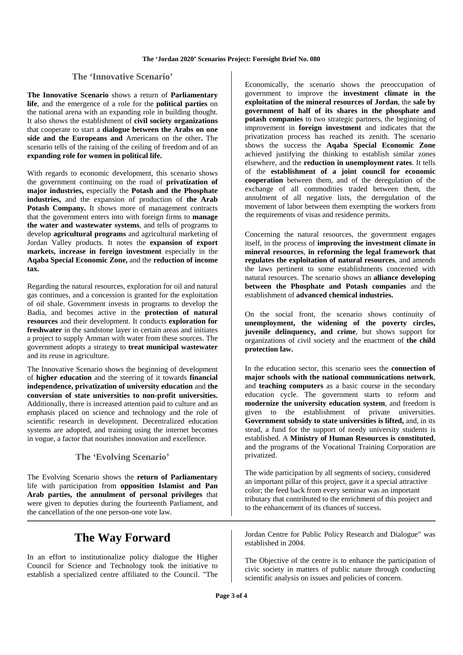### **The 'Innovative Scenario'**

**The Innovative Scenario** shows a return of **Parliamentary life**, and the emergence of a role for the **political parties** on the national arena with an expanding role in building thought. It also shows the establishment of **civil society organizations**  that cooperate to start a **dialogue between the Arabs on one side and the Europeans and** Americans on the other**.** The scenario tells of the raising of the ceiling of freedom and of an **expanding role for women in political life.** 

With regards to economic development, this scenario shows the government continuing on the road of **privatization of major industries,** especially the **Potash and the Phosphate industries,** and the expansion of production of **the Arab**  Potash Company. It shows more of management contracts that the government enters into with foreign firms to **manage the water and wastewater systems**, and tells of programs to develop **agricultural programs** and agricultural marketing of Jordan Valley products. It notes the **expansion of export markets, increase in foreign investment** especially in the **Aqaba Special Economic Zone,** and the **reduction of income tax.** 

Regarding the natural resources, exploration for oil and natural gas continues, and a concession is granted for the exploitation of oil shale. Government invests in programs to develop the Badia, and becomes active in the **protection of natural resources** and their development. It conducts **exploration for freshwater** in the sandstone layer in certain areas and initiates a project to supply Amman with water from these sources. The government adopts a strategy to **treat municipal wastewater** and its reuse in agriculture.

The Innovative Scenario shows the beginning of development of **higher education** and the steering of it towards **financial independence, privatization of university education** and **the conversion of state universities to non-profit universities.** Additionally, there is increased attention paid to culture and an emphasis placed on science and technology and the role of scientific research in development. Decentralized education systems are adopted, and training using the internet becomes in vogue, a factor that nourishes innovation and excellence.

### **The 'Evolving Scenario'**

The Evolving Scenario shows the **return of Parliamentary**  life with participation from **opposition Islamist and Pan Arab parties, the annulment of personal privileges** that were given to deputies during the fourteenth Parliament, and the cancellation of the one person-one vote law.

### **The Way Forward**

In an effort to institutionalize policy dialogue the Higher Council for Science and Technology took the initiative to establish a specialized centre affiliated to the Council. "The

Economically, the scenario shows the preoccupation of government to improve the **investment climate in the exploitation of the mineral resources of Jordan**, the **sale by government of half of its shares in the phosphate and potash companies** to two strategic partners, the beginning of improvement in **foreign investment** and indicates that the privatization process has reached its zenith. The scenario shows the success the **Aqaba Special Economic Zone**  achieved justifying the thinking to establish similar zones elsewhere, and the **reduction in unemployment rates**. It tells of the **establishment of a joint council for economic cooperation** between them, and of the deregulation of the exchange of all commodities traded between them, the annulment of all negative lists, the deregulation of the movement of labor between them exempting the workers from the requirements of visas and residence permits.

Concerning the natural resources, the government engages itself, in the process of **improving the investment climate in mineral resources**, **in reforming the legal framework that regulates the exploitation of natural resources**, and amends the laws pertinent to some establishments concerned with natural resources. The scenario shows an **alliance developing between the Phosphate and Potash companies** and the establishment of **advanced chemical industries.**

On the social front, the scenario shows continuity of **unemployment, the widening of the poverty circles, juvenile delinquency, and crime**, but shows support for organizations of civil society and the enactment of **the child protection law.**

In the education sector, this scenario sees the **connection of major schools with the national communications network**, and **teaching computers** as a basic course in the secondary education cycle. The government starts to reform and **modernize the university education system**, and freedom is given to the establishment of private universities. **Government subsidy to state universities is lifted,** and, in its stead, a fund for the support of needy university students is established. A **Ministry of Human Resources is constituted**, and the programs of the Vocational Training Corporation are privatized.

The wide participation by all segments of society, considered an important pillar of this project, gave it a special attractive color; the feed back from every seminar was an important tributary that contributed to the enrichment of this project and to the enhancement of its chances of success.

Jordan Centre for Public Policy Research and Dialogue" was established in 2004.

The Objective of the centre is to enhance the participation of civic society in matters of public nature through conducting scientific analysis on issues and policies of concern.